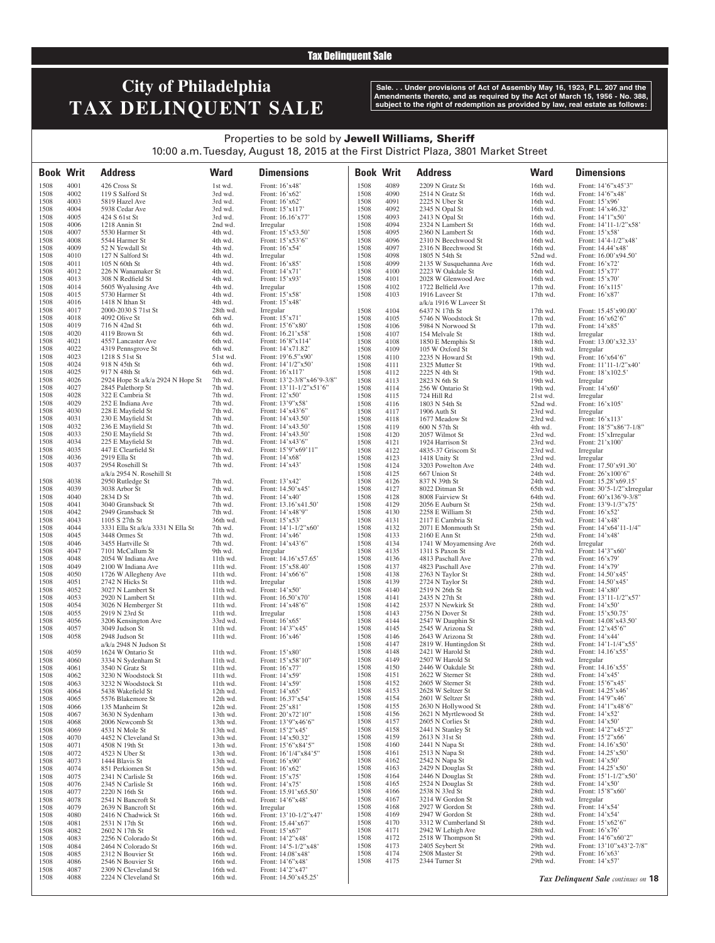### Tax Delinquent Sale

# **City of Philadelphia TAX DELINQUENT SALE**

**Sale. . . Under provisions of Act of Assembly May 16, 1923, P.L. 207 and the Amendments thereto, and as required by the Act of March 15, 1956 - No. 388, subject to the right of redemption as provided by law, real estate as follows:**

## Properties to be sold by Jewell Williams, Sheriff 10:00 a.m. Tuesday, August 18, 2015 at the First District Plaza, 3801 Market Street

| <b>Book Writ</b> |              | <b>Address</b>                                     | <b>Ward</b>          | <b>Dimensions</b>                       |              | <b>Book Writ</b> | <b>Address</b>                            | <b>Ward</b>          | <b>Dimensions</b>                              |
|------------------|--------------|----------------------------------------------------|----------------------|-----------------------------------------|--------------|------------------|-------------------------------------------|----------------------|------------------------------------------------|
| 1508             | 4001         | 426 Cross St                                       | 1st wd.              | Front: 16'x48'                          | 1508         | 4089             | 2209 N Gratz St                           | 16th wd.             | Front: 14'6"x45'3"                             |
| 1508             | 4002         | 119 S Salford St                                   | 3rd wd.              | Front: 16'x62'                          | 1508         | 4090             | 2514 N Gratz St                           | 16th wd.             | Front: 14'6"x48'                               |
| 1508             | 4003         | 5819 Hazel Ave                                     | 3rd wd.              | Front: 16'x62'                          | 1508         | 4091             | 2225 N Uber St                            | 16th wd.             | Front: 15'x96'                                 |
| 1508<br>1508     | 4004<br>4005 | 5938 Cedar Ave<br>424 S 61st St                    | 3rd wd.<br>3rd wd.   | Front: 15'x117'<br>Front: 16.16'x77'    | 1508<br>1508 | 4092<br>4093     | 2345 N Opal St<br>2413 N Opal St          | 16th wd.<br>16th wd. | Front: 14'x46.32'<br>Front: 14'1"x50'          |
| 1508             | 4006         | 1218 Annin St                                      | 2nd wd.              | Irregular                               | 1508         | 4094             | 2324 N Lambert St                         | 16th wd.             | Front: 14'11-1/2"x58'                          |
| 1508             | 4007         | 5530 Harmer St                                     | 4th wd.              | Front: 15'x53.50'                       | 1508         | 4095             | 2360 N Lambert St                         | 16th wd.             | Front: $15'x58'$                               |
| 1508             | 4008         | 5544 Harmer St                                     | 4th wd.              | Front: 15'x53'6"                        | 1508         | 4096             | 2310 N Beechwood St                       | 16th wd.             | Front: $14'4-1/2''x48'$                        |
| 1508             | 4009         | 52 N Yewdall St                                    | 4th wd.              | Front: $16'x54'$                        | 1508         | 4097             | 2316 N Beechwood St                       | 16th wd.             | Front: 14.44'x48'                              |
| 1508<br>1508     | 4010<br>4011 | 127 N Salford St<br>105 N 60th St                  | 4th wd.<br>4th wd.   | Irregular<br>Front: 16'x85'             | 1508<br>1508 | 4098<br>4099     | 1805 N 54th St<br>2135 W Susquehanna Ave  | 52nd wd.<br>16th wd. | Front: 16.00'x94.50'<br>Front: $16'x72'$       |
| 1508             | 4012         | 226 N Wanamaker St                                 | 4th wd.              | Front: 14'x71'                          | 1508         | 4100             | 2223 W Oakdale St                         | 16th wd.             | Front: 15'x77'                                 |
| 1508             | 4013         | 308 N Redfield St                                  | 4th wd.              | Front: 15'x93'                          | 1508         | 4101             | 2028 W Glenwood Ave                       | 16th wd.             | Front: $15'x70'$                               |
| 1508             | 4014         | 5605 Wyalusing Ave                                 | 4th wd.              | Irregular                               | 1508         | 4102             | 1722 Belfield Ave                         | 17th wd.             | Front: 16'x115'                                |
| 1508             | 4015         | 5730 Harmer St                                     | 4th wd.              | Front: 15'x58'                          | 1508         | 4103             | 1916 Laveer St                            | 17th wd.             | Front: $16'x87'$                               |
| 1508<br>1508     | 4016<br>4017 | 1418 N Ithan St<br>2000-2030 S 71st St             | 4th wd.<br>28th wd.  | Front: 15'x48'<br>Irregular             | 1508         | 4104             | a/k/a 1916 W Laveer St<br>6437 N 17th St  | 17th wd.             | Front: 15.45'x90.00'                           |
| 1508             | 4018         | 4092 Olive St                                      | 6th wd.              | Front: 15'x71'                          | 1508         | 4105             | 5746 N Woodstock St                       | 17th wd.             | Front: $16'x62'6"$                             |
| 1508             | 4019         | 716 N 42nd St                                      | 6th wd.              | Front: 15'6"x80'                        | 1508         | 4106             | 5984 N Norwood St                         | 17th wd.             | Front: $14'x85'$                               |
| 1508             | 4020         | 4119 Brown St                                      | 6th wd.              | Front: 16.21'x58'                       | 1508         | 4107             | 154 Melvale St                            | 18th wd.             | Irregular                                      |
| 1508             | 4021         | 4557 Lancaster Ave                                 | 6th wd.              | Front: 16'8"x114'                       | 1508         | 4108             | 1850 E Memphis St                         | 18th wd.             | Front: 13.00'x32.33'                           |
| 1508<br>1508     | 4022<br>4023 | 4319 Pennsgrove St<br>1218 S 51st St               | 6th wd.<br>51st wd.  | Front: 14'x71.82'<br>Front: 19'6.5"x90' | 1508         | 4109             | 105 W Oxford St                           | 18th wd.             | Irregular                                      |
| 1508             | 4024         | 918 N 45th St                                      | 6th wd.              | Front: 14'1/2"x50'                      | 1508<br>1508 | 4110<br>4111     | 2235 N Howard St<br>2325 Mutter St        | 19th wd.<br>19th wd. | Front: 16'x64'6"<br>Front: $11'11-1/2''x40'$   |
| 1508             | 4025         | 917 N 48th St                                      | 6th wd.              | Front: 16'x117'                         | 1508         | 4112             | 2225 N 4th St                             | 19th wd.             | Front: $18'x102.5'$                            |
| 1508             | 4026         | 2924 Hope St a/k/a 2924 N Hope St                  | 7th wd.              | Front: 13'2-3/8"x46'9-3/8"              | 1508         | 4113             | 2823 N 6th St                             | 19th wd.             | Irregular                                      |
| 1508             | 4027         | 2845 Palethorp St                                  | 7th wd.              | Front: $13'11-1/2"x51'6"$               | 1508         | 4114             | 256 W Ontario St                          | 19th wd.             | Front: 14'x60'                                 |
| 1508             | 4028         | 322 E Cambria St                                   | 7th wd.              | Front: 12'x50'                          | 1508         | 4115             | 724 Hill Rd                               | 21st wd.             | Irregular                                      |
| 1508             | 4029         | 252 E Indiana Ave                                  | 7th wd.              | Front: 13'9"x58'                        | 1508         | 4116             | 1803 N 54th St                            | 52nd wd.             | Front: 16'x105'                                |
| 1508<br>1508     | 4030<br>4031 | 228 E Mayfield St<br>230 E Mayfield St             | 7th wd.<br>7th wd.   | Front: 14'x43'6"<br>Front: 14'x43.50'   | 1508<br>1508 | 4117<br>4118     | 1906 Auth St<br>1677 Meadow St            | 23rd wd.<br>23rd wd. | Irregular<br>Front: 16'x113'                   |
| 1508             | 4032         | 236 E Mayfield St                                  | 7th wd.              | Front: 14'x43.50'                       | 1508         | 4119             | 600 N 57th St                             | 4th wd.              | Front: 18'5"x86'7-1/8"                         |
| 1508             | 4033         | 250 E Mayfield St                                  | 7th wd.              | Front: $14'x43.50'$                     | 1508         | 4120             | 2057 Wilmot St                            | 23rd wd.             | Front: 15'xIrregular                           |
| 1508             | 4034         | 225 E Mayfield St                                  | 7th wd.              | Front: 14'x43'6"                        | 1508         | 4121             | 1924 Harrison St                          | 23rd wd.             | Front: 21'x100'                                |
| 1508             | 4035         | 447 E Clearfield St                                | 7th wd.              | Front: 15'9"x69'11"                     | 1508         | 4122             | 4835-37 Griscom St                        | 23rd wd.             | Irregular                                      |
| 1508             | 4036         | 2919 Ella St                                       | 7th wd.              | Front: 14'x68'                          | 1508         | 4123             | 1418 Unity St                             | 23rd wd.             | Irregular                                      |
| 1508             | 4037         | 2954 Rosehill St                                   | 7th wd.              | Front: 14'x43'                          | 1508         | 4124             | 3203 Powelton Ave                         | 24th wd.             | Front: 17.50'x91.30'                           |
| 1508             | 4038         | a/k/a 2954 N. Rosehill St<br>2950 Rutledge St      | 7th wd.              | Front: 13'x42'                          | 1508<br>1508 | 4125<br>4126     | 667 Union St<br>837 N 39th St             | 24th wd.<br>24th wd. | Front: $26'x100'6"$<br>Front: 15.28'x69.15'    |
| 1508             | 4039         | 3038 Arbor St                                      | 7th wd.              | Front: 14.50'x45'                       | 1508         | 4127             | 8022 Ditman St                            | 65th wd.             | Front: 30'5-1/2"xIrregular                     |
| 1508             | 4040         | 2834 D St                                          | 7th wd.              | Front: 14'x40'                          | 1508         | 4128             | 8008 Fairview St                          | 64th wd.             | Front: $60'x136'9-3/8"$                        |
| 1508             | 4041         | 3040 Gransback St                                  | 7th wd.              | Front: 13.16'x41.50'                    | 1508         | 4129             | 2056 E Auburn St                          | 25th wd.             | Front: 13'9-1/3"x75'                           |
| 1508             | 4042         | 2949 Gransback St                                  | 7th wd.              | Front: 14'x48'9"                        | 1508         | 4130             | 2258 E William St                         | 25th wd.             | Front: 16'x52'                                 |
| 1508             | 4043         | 1105 S 27th St                                     | 36th wd.             | Front: 15'x53'                          | 1508         | 4131             | 2117 E Cambria St                         | 25th wd.             | Front: 14'x48'                                 |
| 1508             | 4044         | 3331 Ella St a/k/a 3331 N Ella St<br>3448 Ormes St | 7th wd.              | Front: 14'1-1/2"x60'<br>Front: 14'x46'  | 1508         | 4132             | 2071 E Monmouth St<br>2160 E Ann St       | 25th wd.             | Front: 14'x64'11-1/4"                          |
| 1508<br>1508     | 4045<br>4046 | 3455 Hartville St                                  | 7th wd.<br>7th wd.   | Front: 14'x43'6"                        | 1508<br>1508 | 4133<br>4134     | 1741 W Moyamensing Ave                    | 25th wd.<br>26th wd. | Front: 14'x48'<br>Irregular                    |
| 1508             | 4047         | 7101 McCallum St                                   | 9th wd.              | Irregular                               | 1508         | 4135             | 1311 S Paxon St                           | $27th$ wd.           | Front: $14'3''x60'$                            |
| 1508             | 4048         | 2054 W Indiana Ave                                 | 11th wd.             | Front: 14.16'x57.65'                    | 1508         | 4136             | 4813 Paschall Ave                         | 27th wd.             | Front: 16'x79'                                 |
| 1508             | 4049         | 2100 W Indiana Ave                                 | 11th wd.             | Front: 15'x58.40'                       | 1508         | 4137             | 4823 Paschall Ave                         | 27th wd.             | Front: 14'x79'                                 |
| 1508             | 4050         | 1726 W Allegheny Ave                               | 11th wd.             | Front: 14'x66'6"                        | 1508         | 4138             | 2763 N Taylor St                          | 28th wd.             | Front: 14.50'x45'                              |
| 1508<br>1508     | 4051<br>4052 | 2742 N Hicks St<br>3027 N Lambert St               | 11th wd.<br>11th wd. | Irregular<br>Front: 14'x50'             | 1508<br>1508 | 4139<br>4140     | 2724 N Taylor St<br>2519 N 26th St        | 28th wd.<br>28th wd. | Front: 14.50'x45'<br>Front: 14'x80'            |
| 1508             | 4053         | 2920 N Lambert St                                  | 11th wd.             | Front: 16.50'x70'                       | 1508         | 4141             | 2435 N 27th St                            | 28th wd.             | Front: 13'11-1/2"x57'                          |
| 1508             | 4054         | 3026 N Hemberger St                                | 11th wd.             | Front: 14'x48'6"                        | 1508         | 4142             | 2537 N Newkirk St                         | 28th wd.             | Front: 14'x50'                                 |
| 1508             | 4055         | 2919 N 23rd St                                     | 11th wd.             | Irregular                               | 1508         | 4143             | 2756 N Dover St                           | 28th wd.             | Front: 15'x50.75'                              |
| 1508             | 4056         | 3206 Kensington Ave                                | 33rd wd.             | Front: 16'x65'                          | 1508         | 4144             | 2547 W Dauphin St                         | 28th wd.             | Front: 14.08'x43.50'                           |
| 1508             | 4057         | 3049 Judson St                                     | 11th wd.             | Front: 14'3"x45'                        | 1508         | 4145             | 2545 W Arizona St                         | 28th wd.             | Front: 12'x45'6"                               |
| 1508             | 4058         | 2948 Judson St                                     | 11th wd.             | Front: $16'x46'$                        | 1508         | 4146             | 2643 W Arizona St                         | 28th wd.             | Front: 14'x44'                                 |
| 1508             | 4059         | a/k/a 2948 N Judson St<br>1624 W Ontario St        | 11th wd.             | Front: 15'x80'                          | 1508<br>1508 | 4147<br>4148     | 2819 W. Huntingdon St<br>2421 W Harold St | 28th wd.<br>28th wd. | Front: $14'1 - 1/4''x55'$<br>Front: 14.16'x55' |
| 1508             | 4060         | 3334 N Sydenham St                                 | 11th wd.             | Front: 15'x58'10"                       | 1508         | 4149             | 2507 W Harold St                          | 28th wd.             | Irregular                                      |
| 1508             | 4061         | 3540 N Gratz St                                    | 11th wd.             | Front: 16'x77'                          | 1508         | 4150             | 2446 W Oakdale St                         | 28th wd.             | Front: 14.16'x55'                              |
| 1508             | 4062         | 3230 N Woodstock St                                | 11th wd.             | Front: 14'x59'                          | 1508         | 4151             | 2622 W Sterner St                         | 28th wd.             | Front: 14'x45'                                 |
| 1508             | 4063         | 3232 N Woodstock St                                | 11th wd.             | Front: 14'x59'                          | 1508         | 4152             | 2605 W Sterner St                         | 28th wd.             | Front: 15'6"x45'                               |
| 1508             | 4064         | 5438 Wakefield St                                  | 12th wd.             | Front: $14'x65'$                        | 1508         | 4153             | 2628 W Seltzer St                         | 28th wd.             | Front: 14.25'x46'                              |
| 1508             | 4065         | 5576 Blakemore St<br>135 Manheim St                | 12th wd.             | Front: 16.37'x54'                       | 1508<br>1508 | 4154<br>4155     | 2601 W Seltzer St<br>2630 N Hollywood St  | 28th wd.<br>28th wd. | Front: 14'9"x46'<br>Front: 14'1"x48'6"         |
| 1508<br>1508     | 4066<br>4067 | 3630 N Sydenham                                    | 12th wd.<br>13th wd. | Front: 25'x81'<br>Front: 20'x72'10"     | 1508         | 4156             | 2621 N Myrtlewood St                      | 28th wd.             | Front: $14'x52'$                               |
| 1508             | 4068         | 2006 Newcomb St                                    | 13th wd.             | Front: 13'9"x46'6"                      | 1508         | 4157             | 2605 N Corlies St                         | 28th wd.             | Front: $14'x50'$                               |
| 1508             | 4069         | 4531 N Mole St                                     | 13th wd.             | Front: 15'2"x45'                        | 1508         | 4158             | 2441 N Stanley St                         | 28th wd.             | Front: 14'2"x45'2"                             |
| 1508             | 4070         | 4452 N Cleveland St                                | 13th wd.             | Front: 14'x50.32'                       | 1508         | 4159             | 2613 N 31st St                            | 28th wd.             | Front: 15'2"x66'                               |
| 1508             | 4071         | 4508 N 19th St                                     | 13th wd.             | Front: 15'6"x84'5"                      | 1508         | 4160             | 2441 N Napa St                            | 28th wd.             | Front: $14.16'$ x50'                           |
| 1508             | 4072         | 4523 N Uber St                                     | 13th wd.             | Front: 16'1/4"x84'5"                    | 1508         | 4161             | 2513 N Napa St                            | 28th wd.             | Front: 14.25'x50'                              |
| 1508<br>1508     | 4073<br>4074 | 1444 Blavis St<br>851 Perkiomen St                 | 13th wd.<br>15th wd. | Front: 16'x90'<br>Front: 16'x62'        | 1508<br>1508 | 4162<br>4163     | 2542 N Napa St<br>2429 N Douglas St       | 28th wd.<br>28th wd. | Front: $14'x50'$<br>Front: 14.25'x50'          |
| 1508             | 4075         | 2341 N Carlisle St                                 | 16th wd.             | Front: 15'x75'                          | 1508         | 4164             | 2446 N Douglas St                         | 28th wd.             | Front: 15'1-1/2"x50'                           |
| 1508             | 4076         | 2345 N Carlisle St                                 | 16th wd.             | Front: $14'x75'$                        | 1508         | 4165             | 2524 N Douglas St                         | 28th wd.             | Front: $14'x50'$                               |
| 1508             | 4077         | 2220 N 16th St                                     | 16th wd.             | Front: 15.91'x65.50'                    | 1508         | 4166             | 2538 N 33rd St                            | 28th wd.             | Front: 15'8"x60'                               |
| 1508             | 4078         | 2541 N Bancroft St                                 | 16th wd.             | Front: 14'6"x48'                        | 1508         | 4167             | 3214 W Gordon St                          | 28th wd.             | Irregular                                      |
| 1508             | 4079         | 2639 N Bancroft St                                 | 16th wd.             | Irregular                               | 1508         | 4168             | 2927 W Gordon St                          | 28th wd.             | Front: 14'x54'                                 |
| 1508             | 4080         | 2416 N Chadwick St                                 | 16th wd.             | Front: 13'10-1/2"x47'                   | 1508<br>1508 | 4169<br>4170     | 2947 W Gordon St<br>3312 W Cumberland St  | 28th wd.<br>28th wd. | Front: 14'x54'<br>Front: $15'x62'6"$           |
| 1508<br>1508     | 4081<br>4082 | 2531 N 17th St<br>2602 N 17th St                   | 16th wd.<br>16th wd. | Front: 15.44'x67'<br>Front: 15'x67'     | 1508         | 4171             | 2942 W Lehigh Ave                         | 28th wd.             | Front: $16'x76'$                               |
| 1508             | 4083         | 2256 N Colorado St                                 | 16th wd.             | Front: 14'2"x48'                        | 1508         | 4172             | 2518 W Thompson St                        | 29th wd.             | Front: 14'6"x60'2"                             |
| 1508             | 4084         | 2464 N Colorado St                                 | 16th wd.             | Front: 14'5-1/2"x48'                    | 1508         | 4173             | 2405 Seybert St                           | 29th wd.             | Front: 13'10"x43'2-7/8"                        |
| 1508             | 4085         | 2312 N Bouvier St                                  | 16th wd.             | Front: 14.08'x48'                       | 1508         | 4174             | 2508 Master St                            | 29th wd.             | Front: $16'x63'$                               |
| 1508             | 4086         | 2546 N Bouvier St                                  | 16th wd.             | Front: 14'6"x48"                        | 1508         | 4175             | 2344 Turner St                            | 29th wd.             | Front: $14'x57'$                               |
| 1508             | 4087         | 2309 N Cleveland St                                | 16th wd.             | Front: 14'2"x47'                        |              |                  |                                           |                      |                                                |
| 1508             | 4088         | 2224 N Cleveland St                                | 16th wd.             | Front: 14.50'x45.25'                    |              |                  |                                           |                      | Tax Delinquent Sale continues on 18            |